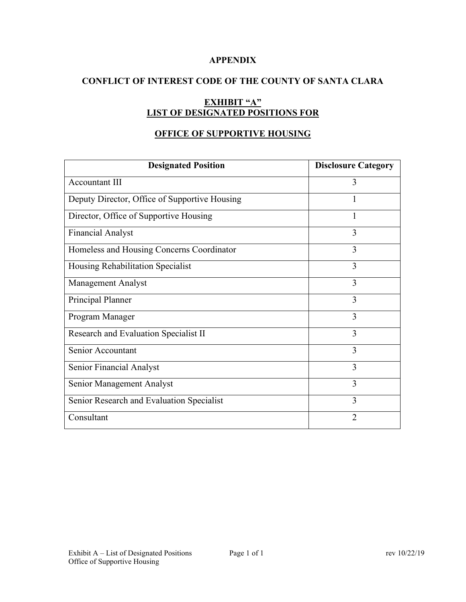## **APPENDIX**

## **CONFLICT OF INTEREST CODE OF THE COUNTY OF SANTA CLARA**

# **EXHIBIT "A" LIST OF DESIGNATED POSITIONS FOR**

## **OFFICE OF SUPPORTIVE HOUSING**

| <b>Designated Position</b>                    | <b>Disclosure Category</b> |
|-----------------------------------------------|----------------------------|
| Accountant III                                | 3                          |
| Deputy Director, Office of Supportive Housing |                            |
| Director, Office of Supportive Housing        |                            |
| <b>Financial Analyst</b>                      | 3                          |
| Homeless and Housing Concerns Coordinator     | 3                          |
| Housing Rehabilitation Specialist             | 3                          |
| <b>Management Analyst</b>                     | 3                          |
| Principal Planner                             | 3                          |
| Program Manager                               | 3                          |
| Research and Evaluation Specialist II         | 3                          |
| Senior Accountant                             | 3                          |
| Senior Financial Analyst                      | 3                          |
| Senior Management Analyst                     | 3                          |
| Senior Research and Evaluation Specialist     | 3                          |
| Consultant                                    | $\overline{2}$             |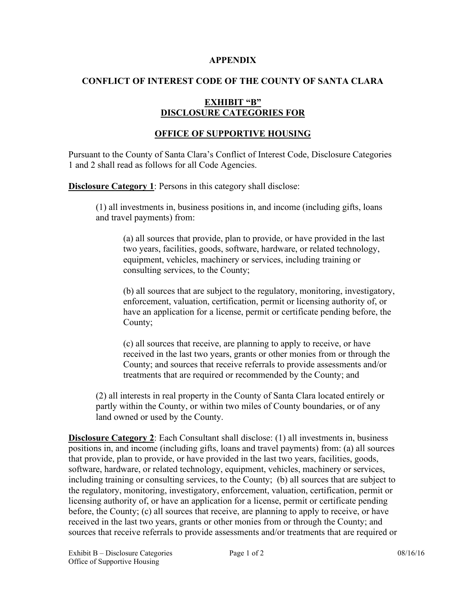#### **APPENDIX**

## **CONFLICT OF INTEREST CODE OF THE COUNTY OF SANTA CLARA**

## **EXHIBIT "B" DISCLOSURE CATEGORIES FOR**

## **OFFICE OF SUPPORTIVE HOUSING**

Pursuant to the County of Santa Clara's Conflict of Interest Code, Disclosure Categories 1 and 2 shall read as follows for all Code Agencies.

**Disclosure Category 1**: Persons in this category shall disclose:

(1) all investments in, business positions in, and income (including gifts, loans and travel payments) from:

(a) all sources that provide, plan to provide, or have provided in the last two years, facilities, goods, software, hardware, or related technology, equipment, vehicles, machinery or services, including training or consulting services, to the County;

(b) all sources that are subject to the regulatory, monitoring, investigatory, enforcement, valuation, certification, permit or licensing authority of, or have an application for a license, permit or certificate pending before, the County;

(c) all sources that receive, are planning to apply to receive, or have received in the last two years, grants or other monies from or through the County; and sources that receive referrals to provide assessments and/or treatments that are required or recommended by the County; and

(2) all interests in real property in the County of Santa Clara located entirely or partly within the County, or within two miles of County boundaries, or of any land owned or used by the County.

**Disclosure Category 2**: Each Consultant shall disclose: (1) all investments in, business positions in, and income (including gifts, loans and travel payments) from: (a) all sources that provide, plan to provide, or have provided in the last two years, facilities, goods, software, hardware, or related technology, equipment, vehicles, machinery or services, including training or consulting services, to the County; (b) all sources that are subject to the regulatory, monitoring, investigatory, enforcement, valuation, certification, permit or licensing authority of, or have an application for a license, permit or certificate pending before, the County; (c) all sources that receive, are planning to apply to receive, or have received in the last two years, grants or other monies from or through the County; and sources that receive referrals to provide assessments and/or treatments that are required or